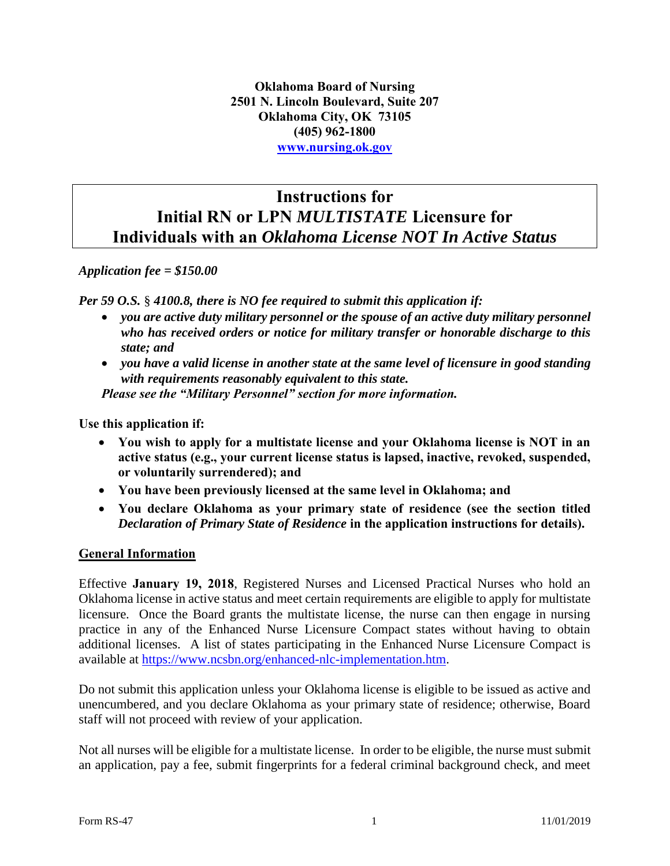**Oklahoma Board of Nursing 2501 N. Lincoln Boulevard, Suite 207 Oklahoma City, OK 73105 (405) 962-1800 [www.nursing.ok.gov](http://www.ok.gov/nursing)**

# **Instructions for Initial RN or LPN** *MULTISTATE* **Licensure for Individuals with an** *Oklahoma License NOT In Active Status*

### *Application fee = \$150.00*

*Per 59 O.S.* § *4100.8, there is NO fee required to submit this application if:*

- *you are active duty military personnel or the spouse of an active duty military personnel who has received orders or notice for military transfer or honorable discharge to this state; and*
- *you have a valid license in another state at the same level of licensure in good standing with requirements reasonably equivalent to this state.*

*Please see the "Military Personnel" section for more information.* 

**Use this application if:**

- **You wish to apply for a multistate license and your Oklahoma license is NOT in an active status (e.g., your current license status is lapsed, inactive, revoked, suspended, or voluntarily surrendered); and**
- **You have been previously licensed at the same level in Oklahoma; and**
- **You declare Oklahoma as your primary state of residence (see the section titled**  *Declaration of Primary State of Residence* **in the application instructions for details).**

#### **General Information**

Effective **January 19, 2018**, Registered Nurses and Licensed Practical Nurses who hold an Oklahoma license in active status and meet certain requirements are eligible to apply for multistate licensure. Once the Board grants the multistate license, the nurse can then engage in nursing practice in any of the Enhanced Nurse Licensure Compact states without having to obtain additional licenses. A list of states participating in the Enhanced Nurse Licensure Compact is available at [https://www.ncsbn.org/enhanced-nlc-implementation.htm.](https://www.ncsbn.org/enhanced-nlc-implementation.htm)

Do not submit this application unless your Oklahoma license is eligible to be issued as active and unencumbered, and you declare Oklahoma as your primary state of residence; otherwise, Board staff will not proceed with review of your application.

Not all nurses will be eligible for a multistate license. In order to be eligible, the nurse must submit an application, pay a fee, submit fingerprints for a federal criminal background check, and meet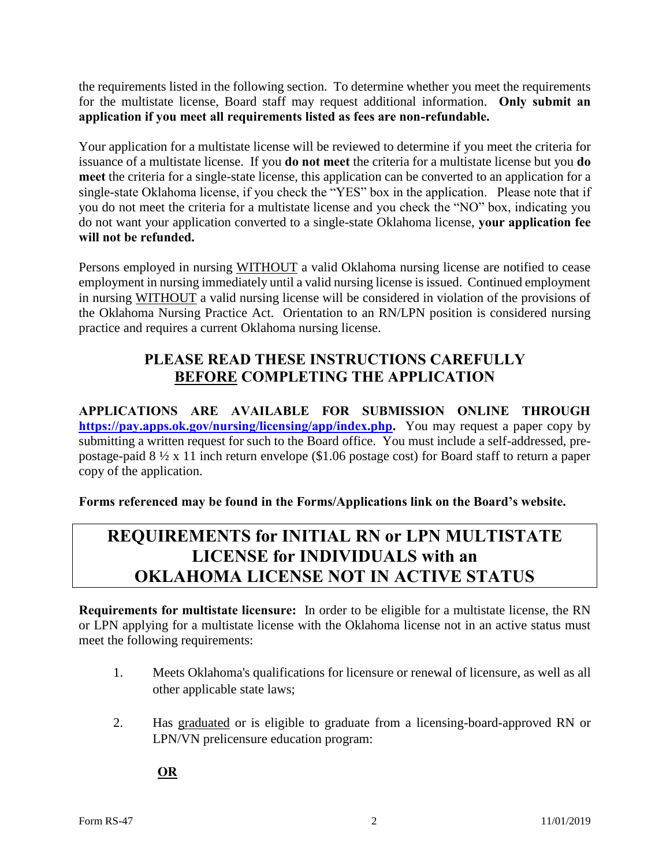the requirements listed in the following section. To determine whether you meet the requirements for the multistate license, Board staff may request additional information. **Only submit an application if you meet all requirements listed as fees are non-refundable.** 

Your application for a multistate license will be reviewed to determine if you meet the criteria for issuance of a multistate license. If you **do not meet** the criteria for a multistate license but you **do meet** the criteria for a single-state license, this application can be converted to an application for a single-state Oklahoma license, if you check the "YES" box in the application. Please note that if you do not meet the criteria for a multistate license and you check the "NO" box, indicating you do not want your application converted to a single-state Oklahoma license, **your application fee will not be refunded.** 

Persons employed in nursing WITHOUT a valid Oklahoma nursing license are notified to cease employment in nursing immediately until a valid nursing license is issued. Continued employment in nursing WITHOUT a valid nursing license will be considered in violation of the provisions of the Oklahoma Nursing Practice Act. Orientation to an RN/LPN position is considered nursing practice and requires a current Oklahoma nursing license.

## **PLEASE READ THESE INSTRUCTIONS CAREFULLY BEFORE COMPLETING THE APPLICATION**

**APPLICATIONS ARE AVAILABLE FOR SUBMISSION ONLINE THROUGH [https://pay.apps.ok.gov/nursing/licensing/app/index.php.](https://pay.apps.ok.gov/nursing/licensing/app/index.php)** You may request a paper copy by submitting a written request for such to the Board office. You must include a self-addressed, prepostage-paid 8 ½ x 11 inch return envelope (\$1.06 postage cost) for Board staff to return a paper copy of the application.

**Forms referenced may be found in the Forms/Applications link on the Board's website.**

# **REQUIREMENTS for INITIAL RN or LPN MULTISTATE LICENSE for INDIVIDUALS with an OKLAHOMA LICENSE NOT IN ACTIVE STATUS**

**Requirements for multistate licensure:** In order to be eligible for a multistate license, the RN or LPN applying for a multistate license with the Oklahoma license not in an active status must meet the following requirements:

- 1. Meets Oklahoma's qualifications for licensure or renewal of licensure, as well as all other applicable state laws;
- 2. Has graduated or is eligible to graduate from a licensing-board-approved RN or LPN/VN prelicensure education program:

**OR**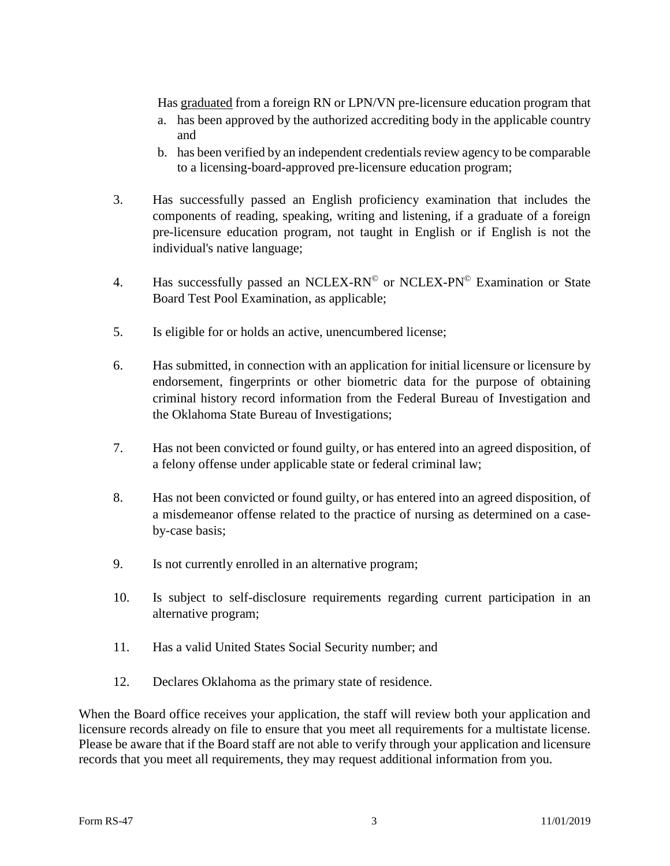Has graduated from a foreign RN or LPN/VN pre-licensure education program that

- a. has been approved by the authorized accrediting body in the applicable country and
- b. has been verified by an independent credentials review agency to be comparable to a licensing-board-approved pre-licensure education program;
- 3. Has successfully passed an English proficiency examination that includes the components of reading, speaking, writing and listening, if a graduate of a foreign pre-licensure education program, not taught in English or if English is not the individual's native language;
- 4. Has successfully passed an NCLEX-RN<sup>©</sup> or NCLEX-PN<sup>©</sup> Examination or State Board Test Pool Examination, as applicable;
- 5. Is eligible for or holds an active, unencumbered license;
- 6. Has submitted, in connection with an application for initial licensure or licensure by endorsement, fingerprints or other biometric data for the purpose of obtaining criminal history record information from the Federal Bureau of Investigation and the Oklahoma State Bureau of Investigations;
- 7. Has not been convicted or found guilty, or has entered into an agreed disposition, of a felony offense under applicable state or federal criminal law;
- 8. Has not been convicted or found guilty, or has entered into an agreed disposition, of a misdemeanor offense related to the practice of nursing as determined on a caseby-case basis;
- 9. Is not currently enrolled in an alternative program;
- 10. Is subject to self-disclosure requirements regarding current participation in an alternative program;
- 11. Has a valid United States Social Security number; and
- 12. Declares Oklahoma as the primary state of residence.

When the Board office receives your application, the staff will review both your application and licensure records already on file to ensure that you meet all requirements for a multistate license. Please be aware that if the Board staff are not able to verify through your application and licensure records that you meet all requirements, they may request additional information from you.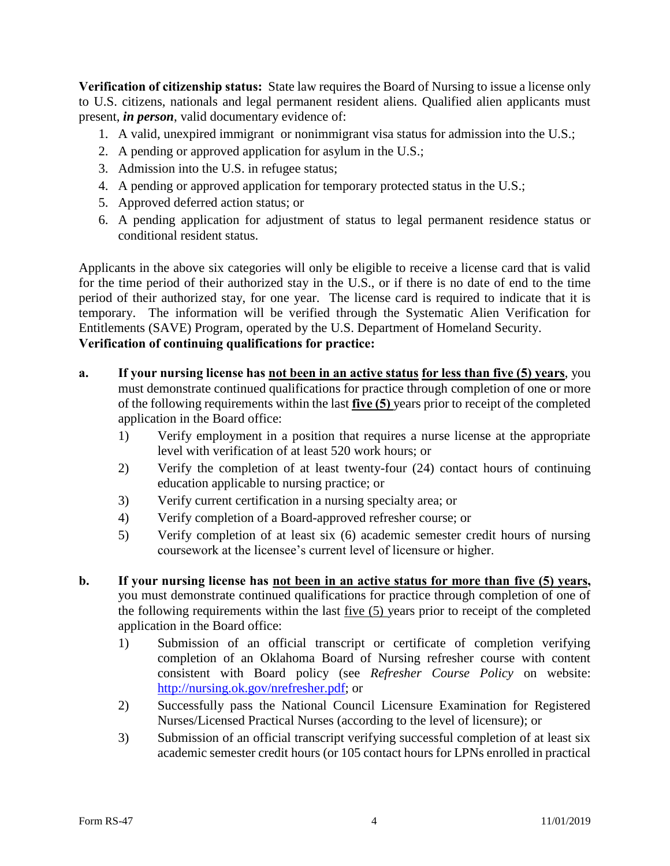**Verification of citizenship status:** State law requires the Board of Nursing to issue a license only to U.S. citizens, nationals and legal permanent resident aliens. Qualified alien applicants must present, *in person*, valid documentary evidence of:

- 1. A valid, unexpired immigrant or nonimmigrant visa status for admission into the U.S.;
- 2. A pending or approved application for asylum in the U.S.;
- 3. Admission into the U.S. in refugee status;
- 4. A pending or approved application for temporary protected status in the U.S.;
- 5. Approved deferred action status; or
- 6. A pending application for adjustment of status to legal permanent residence status or conditional resident status.

Applicants in the above six categories will only be eligible to receive a license card that is valid for the time period of their authorized stay in the U.S., or if there is no date of end to the time period of their authorized stay, for one year. The license card is required to indicate that it is temporary. The information will be verified through the Systematic Alien Verification for Entitlements (SAVE) Program, operated by the U.S. Department of Homeland Security. **Verification of continuing qualifications for practice:** 

- **a. If your nursing license has not been in an active status for less than five (5) years**, you must demonstrate continued qualifications for practice through completion of one or more of the following requirements within the last **five (5)** years prior to receipt of the completed application in the Board office:
	- 1) Verify employment in a position that requires a nurse license at the appropriate level with verification of at least 520 work hours; or
	- 2) Verify the completion of at least twenty-four (24) contact hours of continuing education applicable to nursing practice; or
	- 3) Verify current certification in a nursing specialty area; or
	- 4) Verify completion of a Board-approved refresher course; or
	- 5) Verify completion of at least six (6) academic semester credit hours of nursing coursework at the licensee's current level of licensure or higher.
- **b. If your nursing license has not been in an active status for more than five (5) years,** you must demonstrate continued qualifications for practice through completion of one of the following requirements within the last five (5) years prior to receipt of the completed application in the Board office:
	- 1) Submission of an official transcript or certificate of completion verifying completion of an Oklahoma Board of Nursing refresher course with content consistent with Board policy (see *Refresher Course Policy* on website: [http://nursing.ok.gov/nrefresher.pdf;](http://nursing.ok.gov/nrefresher.pdf) or
	- 2) Successfully pass the National Council Licensure Examination for Registered Nurses/Licensed Practical Nurses (according to the level of licensure); or
	- 3) Submission of an official transcript verifying successful completion of at least six academic semester credit hours (or 105 contact hours for LPNs enrolled in practical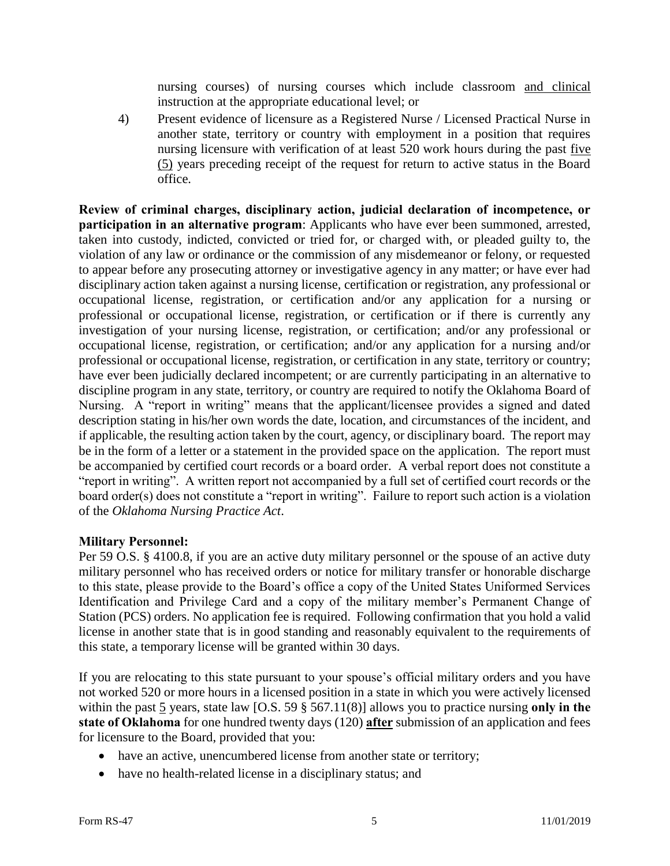nursing courses) of nursing courses which include classroom and clinical instruction at the appropriate educational level; or

4) Present evidence of licensure as a Registered Nurse / Licensed Practical Nurse in another state, territory or country with employment in a position that requires nursing licensure with verification of at least 520 work hours during the past five (5) years preceding receipt of the request for return to active status in the Board office.

**Review of criminal charges, disciplinary action, judicial declaration of incompetence, or participation in an alternative program**: Applicants who have ever been summoned, arrested, taken into custody, indicted, convicted or tried for, or charged with, or pleaded guilty to, the violation of any law or ordinance or the commission of any misdemeanor or felony, or requested to appear before any prosecuting attorney or investigative agency in any matter; or have ever had disciplinary action taken against a nursing license, certification or registration, any professional or occupational license, registration, or certification and/or any application for a nursing or professional or occupational license, registration, or certification or if there is currently any investigation of your nursing license, registration, or certification; and/or any professional or occupational license, registration, or certification; and/or any application for a nursing and/or professional or occupational license, registration, or certification in any state, territory or country; have ever been judicially declared incompetent; or are currently participating in an alternative to discipline program in any state, territory, or country are required to notify the Oklahoma Board of Nursing. A "report in writing" means that the applicant/licensee provides a signed and dated description stating in his/her own words the date, location, and circumstances of the incident, and if applicable, the resulting action taken by the court, agency, or disciplinary board. The report may be in the form of a letter or a statement in the provided space on the application. The report must be accompanied by certified court records or a board order. A verbal report does not constitute a "report in writing". A written report not accompanied by a full set of certified court records or the board order(s) does not constitute a "report in writing". Failure to report such action is a violation of the *Oklahoma Nursing Practice Act*.

### **Military Personnel:**

Per 59 O.S. § 4100.8, if you are an active duty military personnel or the spouse of an active duty military personnel who has received orders or notice for military transfer or honorable discharge to this state, please provide to the Board's office a copy of the United States Uniformed Services Identification and Privilege Card and a copy of the military member's Permanent Change of Station (PCS) orders. No application fee is required. Following confirmation that you hold a valid license in another state that is in good standing and reasonably equivalent to the requirements of this state, a temporary license will be granted within 30 days.

If you are relocating to this state pursuant to your spouse's official military orders and you have not worked 520 or more hours in a licensed position in a state in which you were actively licensed within the past 5 years, state law [O.S. 59  $\S$  567.11(8)] allows you to practice nursing only in the **state of Oklahoma** for one hundred twenty days (120) **after** submission of an application and fees for licensure to the Board, provided that you:

- have an active, unencumbered license from another state or territory;
- have no health-related license in a disciplinary status; and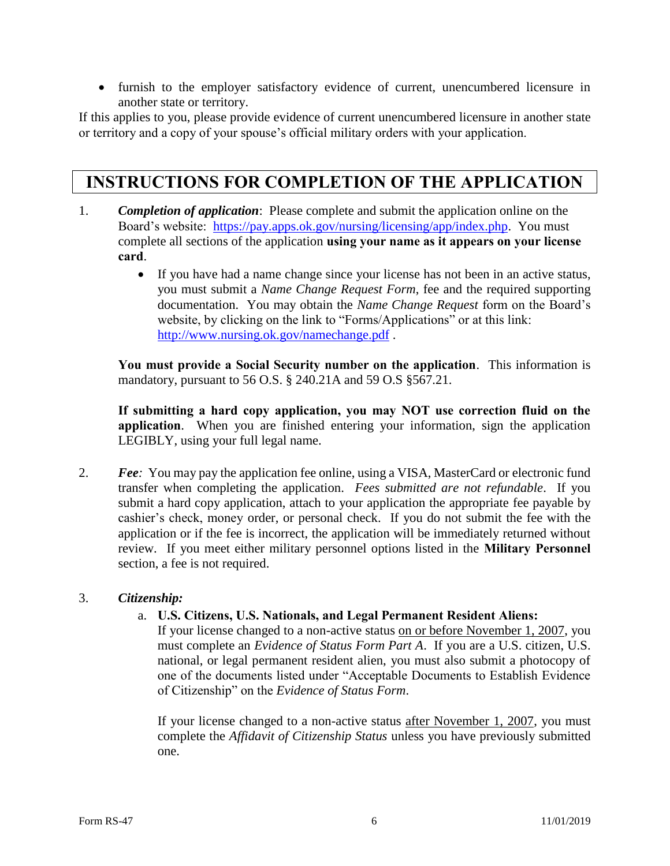furnish to the employer satisfactory evidence of current, unencumbered licensure in another state or territory.

If this applies to you, please provide evidence of current unencumbered licensure in another state or territory and a copy of your spouse's official military orders with your application.

## **INSTRUCTIONS FOR COMPLETION OF THE APPLICATION**

- 1. *Completion of application*: Please complete and submit the application online on the Board's website: [https://pay.apps.ok.gov/nursing/licensing/app/index.php.](https://pay.apps.ok.gov/nursing/licensing/app/index.php) You must complete all sections of the application **using your name as it appears on your license card**.
	- If you have had a name change since your license has not been in an active status, you must submit a *Name Change Request Form*, fee and the required supporting documentation. You may obtain the *Name Change Request* form on the Board's website, by clicking on the link to "Forms/Applications" or at this link: <http://www.nursing.ok.gov/namechange.pdf> .

**You must provide a Social Security number on the application**. This information is mandatory, pursuant to 56 O.S. § 240.21A and 59 O.S §567.21.

**If submitting a hard copy application, you may NOT use correction fluid on the application**. When you are finished entering your information, sign the application LEGIBLY, using your full legal name.

2. *Fee:* You may pay the application fee online, using a VISA, MasterCard or electronic fund transfer when completing the application. *Fees submitted are not refundable*. If you submit a hard copy application, attach to your application the appropriate fee payable by cashier's check, money order, or personal check. If you do not submit the fee with the application or if the fee is incorrect, the application will be immediately returned without review. If you meet either military personnel options listed in the **Military Personnel** section, a fee is not required.

### 3. *Citizenship:*

#### a. **U.S. Citizens, U.S. Nationals, and Legal Permanent Resident Aliens:**

If your license changed to a non-active status on or before November 1, 2007, you must complete an *Evidence of Status Form Part A*. If you are a U.S. citizen, U.S. national, or legal permanent resident alien, you must also submit a photocopy of one of the documents listed under "Acceptable Documents to Establish Evidence of Citizenship" on the *Evidence of Status Form*.

If your license changed to a non-active status after November 1, 2007, you must complete the *Affidavit of Citizenship Status* unless you have previously submitted one.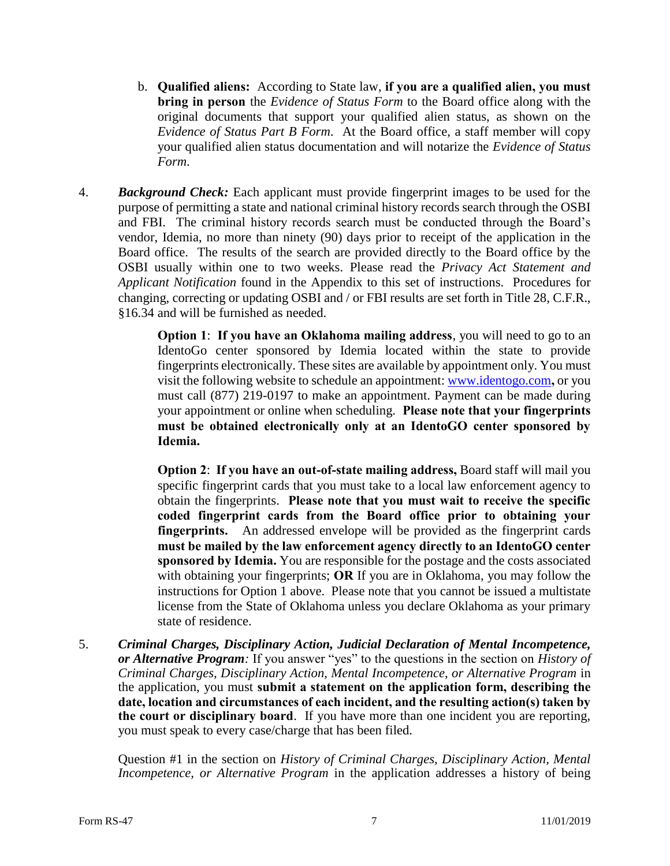- b. **Qualified aliens:** According to State law, **if you are a qualified alien, you must bring in person** the *Evidence of Status Form* to the Board office along with the original documents that support your qualified alien status, as shown on the *Evidence of Status Part B Form*. At the Board office, a staff member will copy your qualified alien status documentation and will notarize the *Evidence of Status Form*.
- 4. *Background Check:* Each applicant must provide fingerprint images to be used for the purpose of permitting a state and national criminal history records search through the OSBI and FBI. The criminal history records search must be conducted through the Board's vendor, Idemia, no more than ninety (90) days prior to receipt of the application in the Board office. The results of the search are provided directly to the Board office by the OSBI usually within one to two weeks. Please read the *Privacy Act Statement and Applicant Notification* found in the Appendix to this set of instructions. Procedures for changing, correcting or updating OSBI and / or FBI results are set forth in Title 28, C.F.R., §16.34 and will be furnished as needed.

**Option 1**: **If you have an Oklahoma mailing address**, you will need to go to an IdentoGo center sponsored by Idemia located within the state to provide fingerprints electronically. These sites are available by appointment only. You must visit the following website to schedule an appointment: [www.identogo.com](http://www.identogo.com/)**,** or you must call (877) 219-0197 to make an appointment. Payment can be made during your appointment or online when scheduling. **Please note that your fingerprints must be obtained electronically only at an IdentoGO center sponsored by Idemia.**

**Option 2**: **If you have an out-of-state mailing address,** Board staff will mail you specific fingerprint cards that you must take to a local law enforcement agency to obtain the fingerprints. **Please note that you must wait to receive the specific coded fingerprint cards from the Board office prior to obtaining your fingerprints.** An addressed envelope will be provided as the fingerprint cards **must be mailed by the law enforcement agency directly to an IdentoGO center sponsored by Idemia.** You are responsible for the postage and the costs associated with obtaining your fingerprints; **OR** If you are in Oklahoma, you may follow the instructions for Option 1 above. Please note that you cannot be issued a multistate license from the State of Oklahoma unless you declare Oklahoma as your primary state of residence.

5. *Criminal Charges, Disciplinary Action, Judicial Declaration of Mental Incompetence, or Alternative Program:* If you answer "yes" to the questions in the section on *History of Criminal Charges, Disciplinary Action, Mental Incompetence, or Alternative Program* in the application, you must **submit a statement on the application form, describing the date, location and circumstances of each incident, and the resulting action(s) taken by the court or disciplinary board**. If you have more than one incident you are reporting, you must speak to every case/charge that has been filed.

Question #1 in the section on *History of Criminal Charges, Disciplinary Action, Mental Incompetence, or Alternative Program* in the application addresses a history of being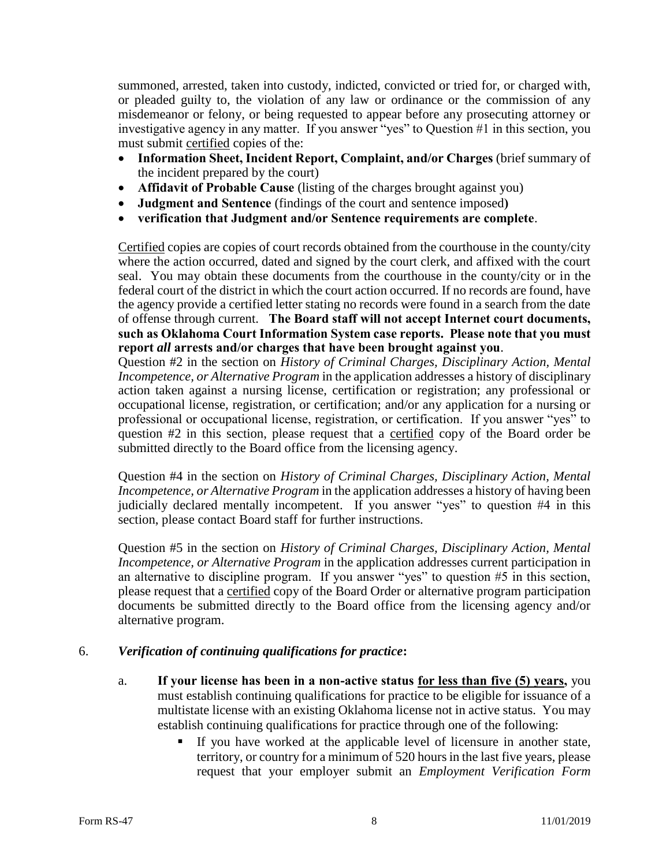summoned, arrested, taken into custody, indicted, convicted or tried for, or charged with, or pleaded guilty to, the violation of any law or ordinance or the commission of any misdemeanor or felony, or being requested to appear before any prosecuting attorney or investigative agency in any matter. If you answer "yes" to Question #1 in this section, you must submit certified copies of the:

- **Information Sheet, Incident Report, Complaint, and/or Charges** (brief summary of the incident prepared by the court)
- **Affidavit of Probable Cause** (listing of the charges brought against you)
- **Judgment and Sentence** (findings of the court and sentence imposed**)**
- **verification that Judgment and/or Sentence requirements are complete**.

Certified copies are copies of court records obtained from the courthouse in the county/city where the action occurred, dated and signed by the court clerk, and affixed with the court seal. You may obtain these documents from the courthouse in the county/city or in the federal court of the district in which the court action occurred. If no records are found, have the agency provide a certified letter stating no records were found in a search from the date of offense through current. **The Board staff will not accept Internet court documents, such as Oklahoma Court Information System case reports. Please note that you must report** *all* **arrests and/or charges that have been brought against you**.

Question #2 in the section on *History of Criminal Charges, Disciplinary Action, Mental Incompetence, or Alternative Program* in the application addresses a history of disciplinary action taken against a nursing license, certification or registration; any professional or occupational license, registration, or certification; and/or any application for a nursing or professional or occupational license, registration, or certification. If you answer "yes" to question #2 in this section, please request that a certified copy of the Board order be submitted directly to the Board office from the licensing agency.

Question #4 in the section on *History of Criminal Charges, Disciplinary Action, Mental Incompetence, or Alternative Program* in the application addresses a history of having been judicially declared mentally incompetent. If you answer "yes" to question #4 in this section, please contact Board staff for further instructions.

Question #5 in the section on *History of Criminal Charges, Disciplinary Action, Mental Incompetence, or Alternative Program* in the application addresses current participation in an alternative to discipline program. If you answer "yes" to question #5 in this section, please request that a certified copy of the Board Order or alternative program participation documents be submitted directly to the Board office from the licensing agency and/or alternative program.

### 6. *Verification of continuing qualifications for practice***:**

- a. **If your license has been in a non-active status for less than five (5) years,** you must establish continuing qualifications for practice to be eligible for issuance of a multistate license with an existing Oklahoma license not in active status. You may establish continuing qualifications for practice through one of the following:
	- If you have worked at the applicable level of licensure in another state, territory, or country for a minimum of 520 hours in the last five years, please request that your employer submit an *Employment Verification Form*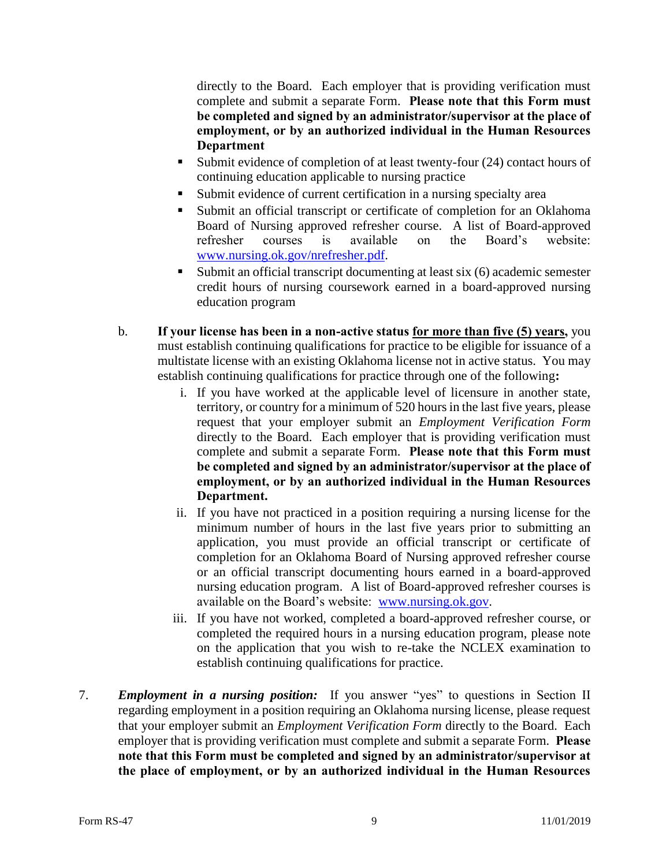directly to the Board. Each employer that is providing verification must complete and submit a separate Form. **Please note that this Form must be completed and signed by an administrator/supervisor at the place of employment, or by an authorized individual in the Human Resources Department**

- Submit evidence of completion of at least twenty-four (24) contact hours of continuing education applicable to nursing practice
- Submit evidence of current certification in a nursing specialty area
- Submit an official transcript or certificate of completion for an Oklahoma Board of Nursing approved refresher course. A list of Board-approved refresher courses is available on the Board's website: [www.nursing.ok.gov/nrefresher.pdf.](http://www.nursing.ok.gov/nrefresher.pdf)
- Submit an official transcript documenting at least six (6) academic semester credit hours of nursing coursework earned in a board-approved nursing education program
- b. **If your license has been in a non-active status for more than five (5) years,** you must establish continuing qualifications for practice to be eligible for issuance of a multistate license with an existing Oklahoma license not in active status. You may establish continuing qualifications for practice through one of the following**:** 
	- i. If you have worked at the applicable level of licensure in another state, territory, or country for a minimum of 520 hours in the last five years, please request that your employer submit an *Employment Verification Form*  directly to the Board. Each employer that is providing verification must complete and submit a separate Form. **Please note that this Form must be completed and signed by an administrator/supervisor at the place of employment, or by an authorized individual in the Human Resources Department.**
	- ii. If you have not practiced in a position requiring a nursing license for the minimum number of hours in the last five years prior to submitting an application, you must provide an official transcript or certificate of completion for an Oklahoma Board of Nursing approved refresher course or an official transcript documenting hours earned in a board-approved nursing education program. A list of Board-approved refresher courses is available on the Board's website: [www.nursing.ok.gov.](http://www.ok.gov/nursing)
	- iii. If you have not worked, completed a board-approved refresher course, or completed the required hours in a nursing education program, please note on the application that you wish to re-take the NCLEX examination to establish continuing qualifications for practice.
- 7. *Employment in a nursing position:* If you answer "yes" to questions in Section II regarding employment in a position requiring an Oklahoma nursing license, please request that your employer submit an *Employment Verification Form* directly to the Board. Each employer that is providing verification must complete and submit a separate Form. **Please note that this Form must be completed and signed by an administrator/supervisor at the place of employment, or by an authorized individual in the Human Resources**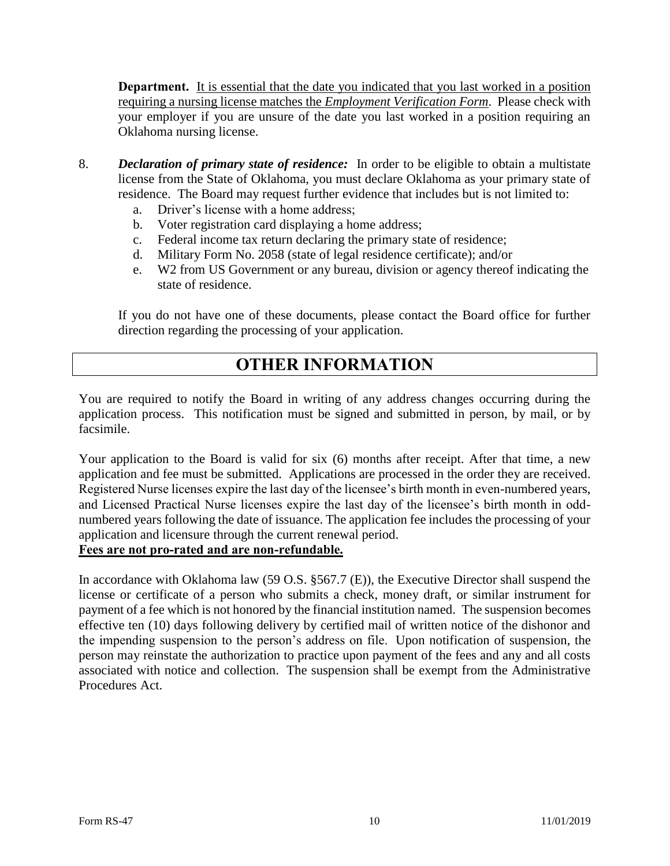**Department.** It is essential that the date you indicated that you last worked in a position requiring a nursing license matches the *Employment Verification Form*. Please check with your employer if you are unsure of the date you last worked in a position requiring an Oklahoma nursing license.

- 8. *Declaration of primary state of residence:* In order to be eligible to obtain a multistate license from the State of Oklahoma, you must declare Oklahoma as your primary state of residence. The Board may request further evidence that includes but is not limited to:
	- a. Driver's license with a home address;
	- b. Voter registration card displaying a home address;
	- c. Federal income tax return declaring the primary state of residence;
	- d. Military Form No. 2058 (state of legal residence certificate); and/or
	- e. W2 from US Government or any bureau, division or agency thereof indicating the state of residence.

If you do not have one of these documents, please contact the Board office for further direction regarding the processing of your application.

# **OTHER INFORMATION**

You are required to notify the Board in writing of any address changes occurring during the application process. This notification must be signed and submitted in person, by mail, or by facsimile.

Your application to the Board is valid for six (6) months after receipt. After that time, a new application and fee must be submitted. Applications are processed in the order they are received. Registered Nurse licenses expire the last day of the licensee's birth month in even-numbered years, and Licensed Practical Nurse licenses expire the last day of the licensee's birth month in oddnumbered years following the date of issuance. The application fee includes the processing of your application and licensure through the current renewal period.

### **Fees are not pro-rated and are non-refundable.**

In accordance with Oklahoma law (59 O.S. §567.7 (E)), the Executive Director shall suspend the license or certificate of a person who submits a check, money draft, or similar instrument for payment of a fee which is not honored by the financial institution named. The suspension becomes effective ten (10) days following delivery by certified mail of written notice of the dishonor and the impending suspension to the person's address on file. Upon notification of suspension, the person may reinstate the authorization to practice upon payment of the fees and any and all costs associated with notice and collection. The suspension shall be exempt from the Administrative Procedures Act.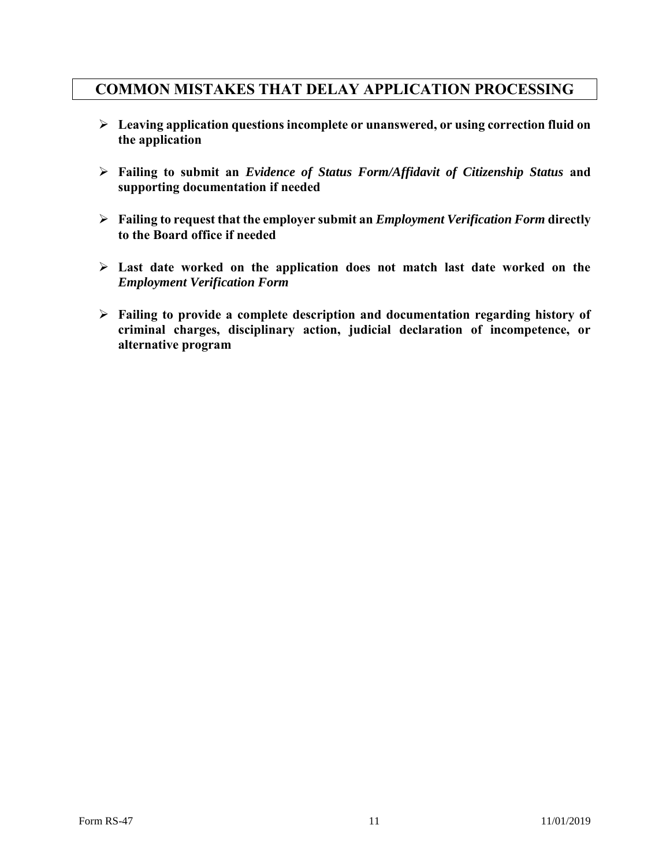### **COMMON MISTAKES THAT DELAY APPLICATION PROCESSING**

- **Leaving application questions incomplete or unanswered, or using correction fluid on the application**
- **Failing to submit an** *Evidence of Status Form/Affidavit of Citizenship Status* **and supporting documentation if needed**
- **Failing to request that the employer submit an** *Employment Verification Form* **directly to the Board office if needed**
- **Last date worked on the application does not match last date worked on the**  *Employment Verification Form*
- **Failing to provide a complete description and documentation regarding history of criminal charges, disciplinary action, judicial declaration of incompetence, or alternative program**